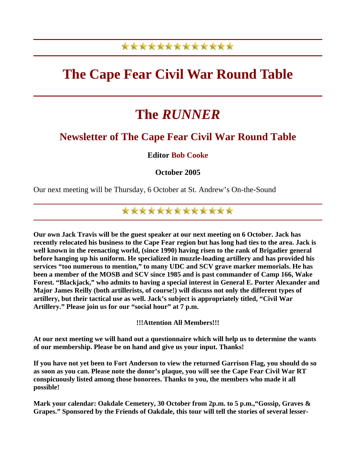## \*\*\*\*\*\*\*\*\*\*\*\*\*

## **The Cape Fear Civil War Round Table**

# **The** *RUNNER*

### **Newsletter of The Cape Fear Civil War Round Table**

### **Editor Bob Cooke**

**October 2005** 

Our next meeting will be Thursday, 6 October at St. Andrew's On-the-Sound

\*\*\*\*\*\*\*\*\*\*\*\*\*

**Our own Jack Travis will be the guest speaker at our next meeting on 6 October. Jack has recently relocated his business to the Cape Fear region but has long had ties to the area. Jack is well known in the reenacting world, (since 1990) having risen to the rank of Brigadier general before hanging up his uniform. He specialized in muzzle-loading artillery and has provided his services "too numerous to mention," to many UDC and SCV grave marker memorials. He has been a member of the MOSB and SCV since 1985 and is past commander of Camp 166, Wake Forest. "Blackjack," who admits to having a special interest in General E. Porter Alexander and Major James Reilly (both artillerists, of course!) will discuss not only the different types of artillery, but their tactical use as well. Jack's subject is appropriately titled, "Civil War Artillery." Please join us for our "social hour" at 7 p.m.** 

**!!!Attention All Members!!!** 

**At our next meeting we will hand out a questionnaire which will help us to determine the wants of our membership. Please be on hand and give us your input. Thanks!** 

**If you have not yet been to Fort Anderson to view the returned Garrison Flag, you should do so as soon as you can. Please note the donor's plaque, you will see the Cape Fear Civil War RT conspicuously listed among those honorees. Thanks to you, the members who made it all possible!** 

**Mark your calendar: Oakdale Cemetery, 30 October from 2p.m. to 5 p.m.,"Gossip, Graves & Grapes." Sponsored by the Friends of Oakdale, this tour will tell the stories of several lesser-**